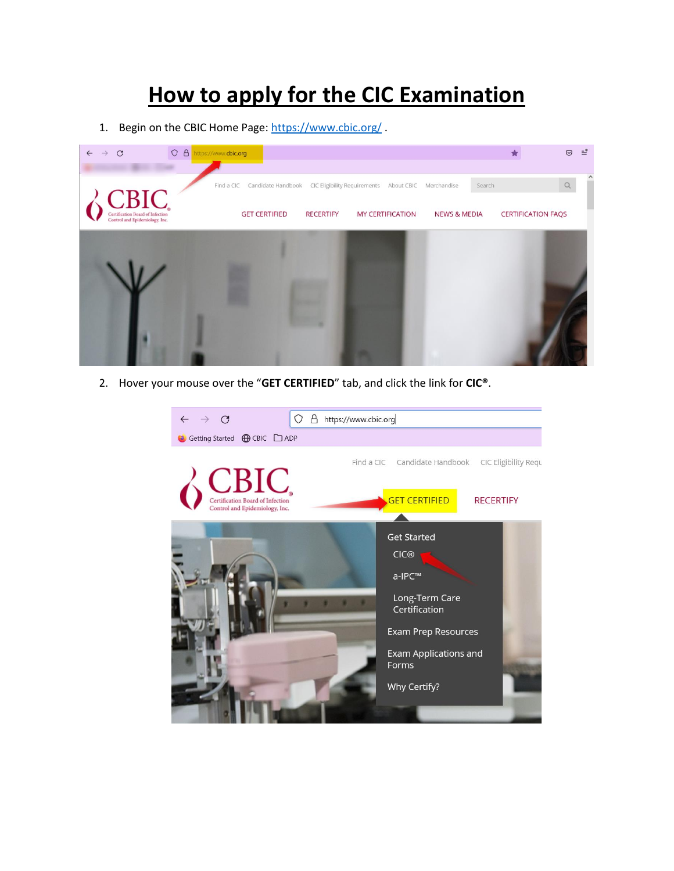# **How to apply for the CIC Examination**

1. Begin on the CBIC Home Page:<https://www.cbic.org/> .



2. Hover your mouse over the "**GET CERTIFIED**" tab, and click the link for **CIC®**.

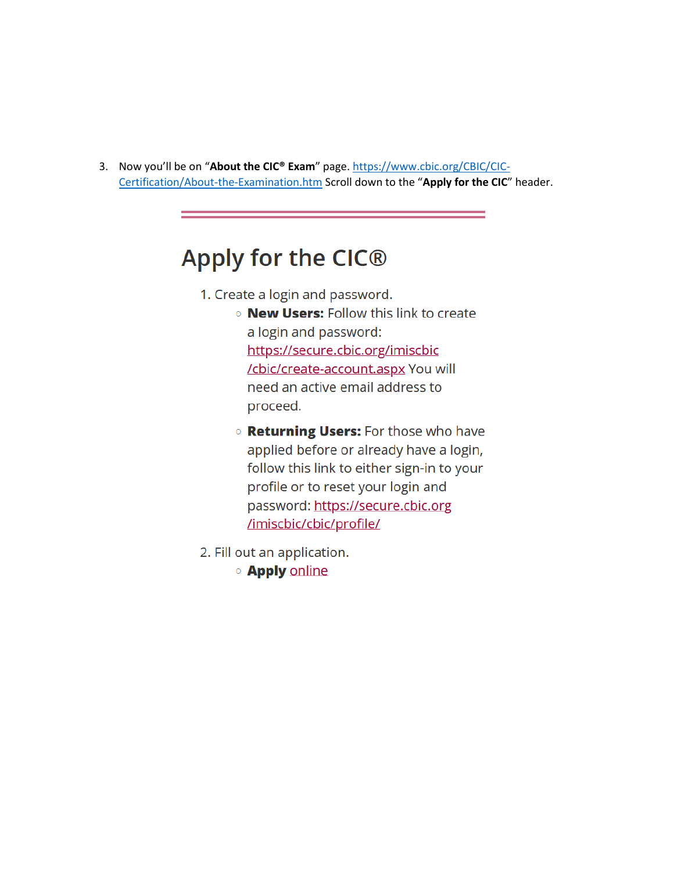3. Now you'll be on "About the CIC® Exam" page. https://www.cbic.org/CBIC/CIC-Certification/About-the-Examination.htm Scroll down to the "Apply for the CIC" header.

# Apply for the CIC®

- 1. Create a login and password.
	- **O New Users: Follow this link to create** a login and password: https://secure.cbic.org/imiscbic /cbic/create-account.aspx You will need an active email address to proceed.
	- **Returning Users:** For those who have applied before or already have a login, follow this link to either sign-in to your profile or to reset your login and password: https://secure.cbic.org /imiscbic/cbic/profile/
- 2. Fill out an application.
	- **O** Apply online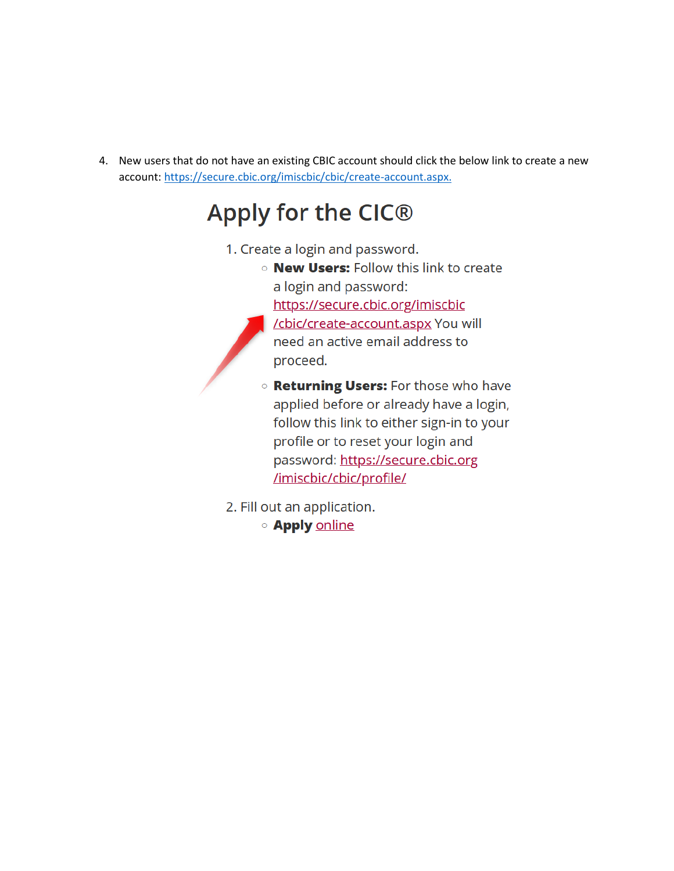4. New users that do not have an existing CBIC account should click the below link to create a new account: https://secure.cbic.org/imiscbic/cbic/create-account.aspx.

# Apply for the CIC®

- 1. Create a login and password.
	- . New Users: Follow this link to create a login and password: https://secure.cbic.org/imiscbic
		- /cbic/create-account.aspx You will need an active email address to proceed.

**Returning Users:** For those who have applied before or already have a login, follow this link to either sign-in to your profile or to reset your login and password: https://secure.cbic.org /imiscbic/cbic/profile/

2. Fill out an application.

**O** Apply online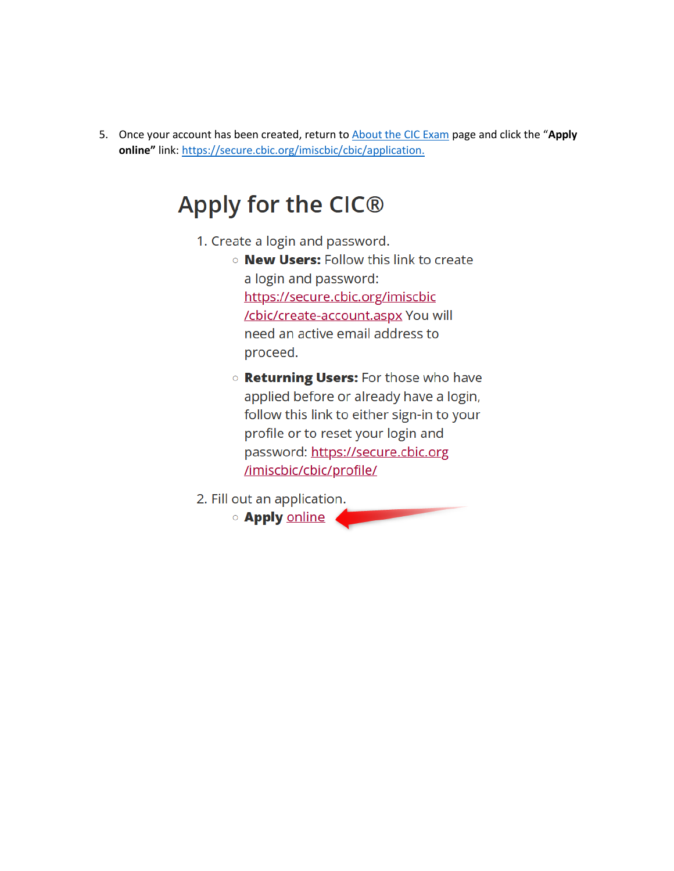5. Once your account has been created, return to About the CIC Exam page and click the "Apply online" link: https://secure.cbic.org/imiscbic/cbic/application.

# Apply for the CIC®

- 1. Create a login and password.
	- **New Users:** Follow this link to create a login and password: https://secure.cbic.org/imiscbic /cbic/create-account.aspx You will need an active email address to proceed.
	- o Returning Users: For those who have applied before or already have a login, follow this link to either sign-in to your profile or to reset your login and password: https://secure.cbic.org /imiscbic/cbic/profile/
- 2. Fill out an application.
	- **O** Apply online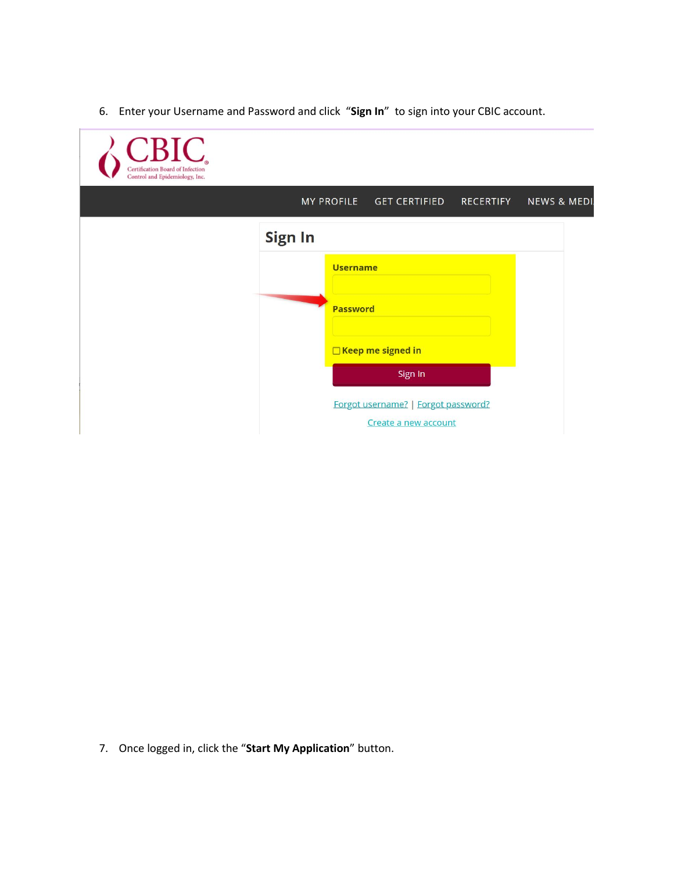6. Enter your Username and Password and click "**Sign In**" to sign into your CBIC account.

| CBIC.<br>Certification Board of Infection<br>Control and Epidemiology, Inc. |                                                             |                                  |
|-----------------------------------------------------------------------------|-------------------------------------------------------------|----------------------------------|
|                                                                             | <b>MY PROFILE</b><br><b>GET CERTIFIED</b>                   | <b>RECERTIFY</b><br>NEWS & MEDI. |
|                                                                             | <b>Sign In</b>                                              |                                  |
|                                                                             | <b>Username</b>                                             |                                  |
|                                                                             | <b>Password</b>                                             |                                  |
|                                                                             | □ Keep me signed in                                         |                                  |
|                                                                             | Sign In                                                     |                                  |
|                                                                             | Forgot username?   Forgot password?<br>Create a new account |                                  |

7. Once logged in, click the "**Start My Application**" button.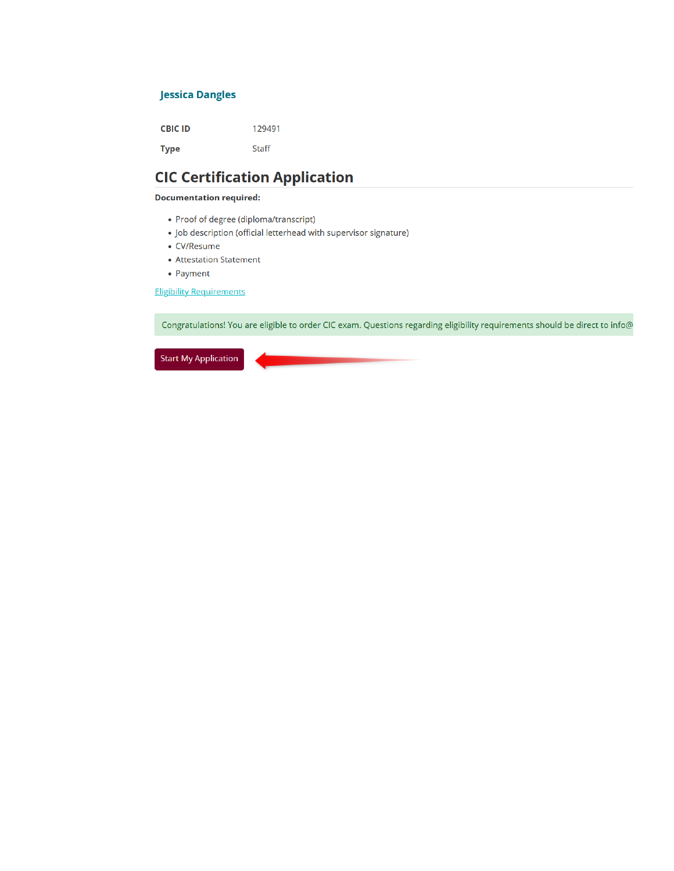### **Jessica Dangles**

**CBIC ID** 129491 **Type** Staff

# **CIC Certification Application**

### **Documentation required:**

- Proof of degree (diploma/transcript)
- Job description (official letterhead with supervisor signature)
- CV/Resume
- Attestation Statement
- Payment

**Eligibility Requirements** 

Congratulations! You are eligible to order CIC exam. Questions regarding eligibility requirements should be direct to info@

**Start My Application**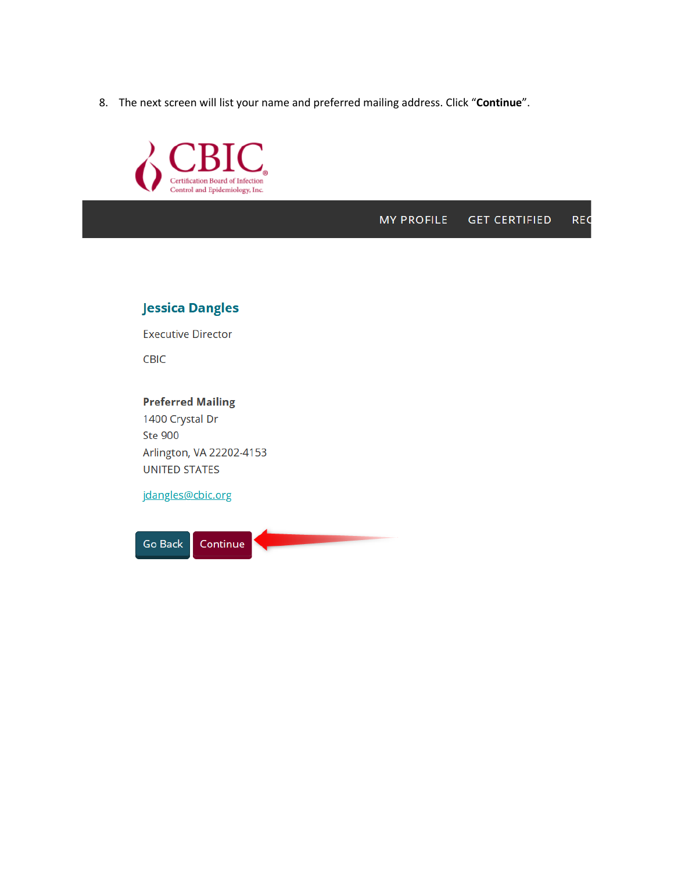8. The next screen will list your name and preferred mailing address. Click "Continue".



#### **MY PROFILE GET CERTIFIED REC**

## **Jessica Dangles**

**Executive Director** 

CBIC

## **Preferred Mailing**

1400 Crystal Dr **Ste 900** Arlington, VA 22202-4153 **UNITED STATES** 

jdangles@cbic.org

Continue **Go Back**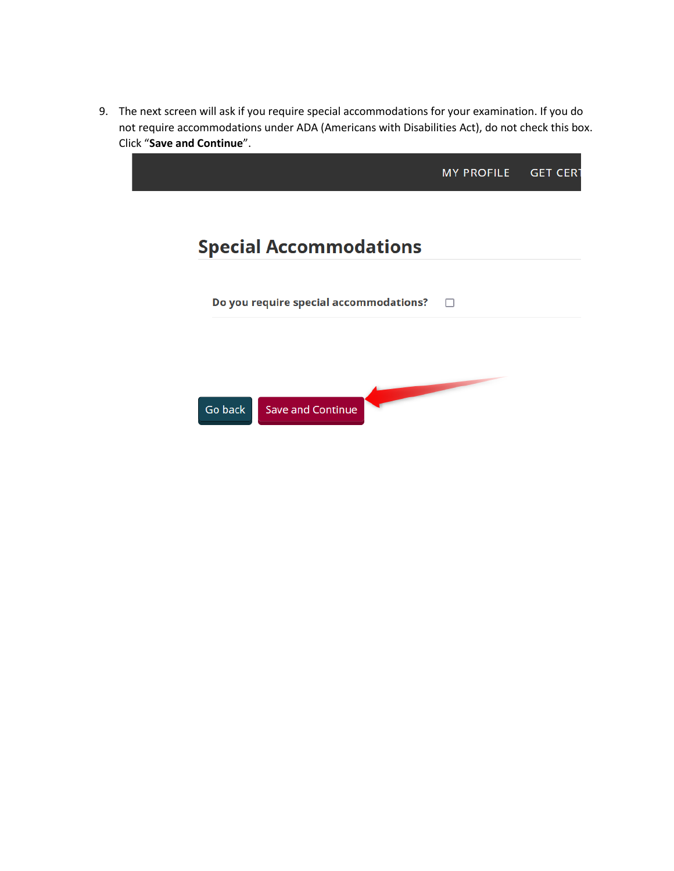9. The next screen will ask if you require special accommodations for your examination. If you do not require accommodations under ADA (Americans with Disabilities Act), do not check this box. Click "**Save and Continue**".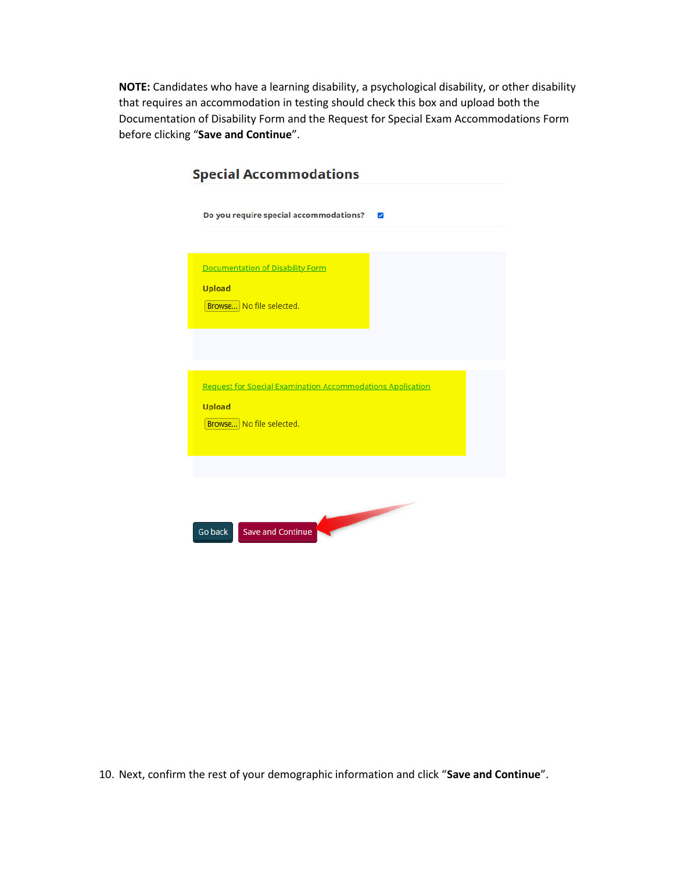**NOTE:** Candidates who have a learning disability, a psychological disability, or other disability that requires an accommodation in testing should check this box and upload both the Documentation of Disability Form and the Request for Special Exam Accommodations Form before clicking "**Save and Continue**".

|               | Do you require special accommodations?                            | $\blacktriangledown$                                                                                                                                                                                                                 |  |
|---------------|-------------------------------------------------------------------|--------------------------------------------------------------------------------------------------------------------------------------------------------------------------------------------------------------------------------------|--|
|               |                                                                   |                                                                                                                                                                                                                                      |  |
|               | Documentation of Disability Form                                  |                                                                                                                                                                                                                                      |  |
|               |                                                                   |                                                                                                                                                                                                                                      |  |
| <b>Upload</b> | Browse No file selected.                                          |                                                                                                                                                                                                                                      |  |
|               |                                                                   |                                                                                                                                                                                                                                      |  |
|               |                                                                   |                                                                                                                                                                                                                                      |  |
|               |                                                                   |                                                                                                                                                                                                                                      |  |
|               |                                                                   |                                                                                                                                                                                                                                      |  |
|               | <b>Request for Special Examination Accommodations Application</b> |                                                                                                                                                                                                                                      |  |
| <b>Upload</b> |                                                                   |                                                                                                                                                                                                                                      |  |
|               | Browse No file selected.                                          |                                                                                                                                                                                                                                      |  |
|               |                                                                   |                                                                                                                                                                                                                                      |  |
|               |                                                                   |                                                                                                                                                                                                                                      |  |
|               |                                                                   |                                                                                                                                                                                                                                      |  |
|               |                                                                   |                                                                                                                                                                                                                                      |  |
|               |                                                                   | <b>Contract Contract Contract Contract Contract Contract Contract Contract Contract Contract Contract Contract Contract Contract Contract Contract Contract Contract Contract Contract Contract Contract Contract Contract Contr</b> |  |

10. Next, confirm the rest of your demographic information and click "**Save and Continue**".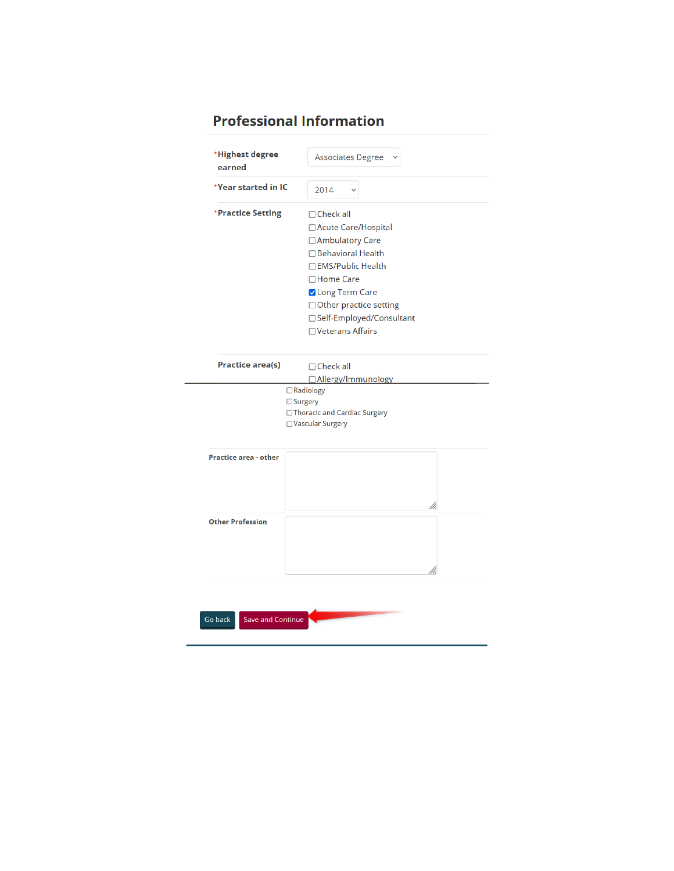# **Professional Information**

| earned                       | <b>Associates Degree</b>                                                                                                                                                                                                     |
|------------------------------|------------------------------------------------------------------------------------------------------------------------------------------------------------------------------------------------------------------------------|
| *Year started in IC          | 2014                                                                                                                                                                                                                         |
| *Practice Setting            | $\Box$ Check all<br>□ Acute Care/Hospital<br>□ Ambulatory Care<br>□ Behavioral Health<br>□ EMS/Public Health<br>□Home Care<br>Long Term Care<br>□ Other practice setting<br>□ Self-Employed/Consultant<br>□ Veterans Affairs |
| <b>Practice area(s)</b>      | $\Box$ Check all<br>□ Allergy/Immunology<br>□ Radiology                                                                                                                                                                      |
|                              | $\Box$ Surgery<br>□ Thoracic and Cardiac Surgery<br>□Vascular Surgery                                                                                                                                                        |
| <b>Practice area - other</b> |                                                                                                                                                                                                                              |
| <b>Other Profession</b>      |                                                                                                                                                                                                                              |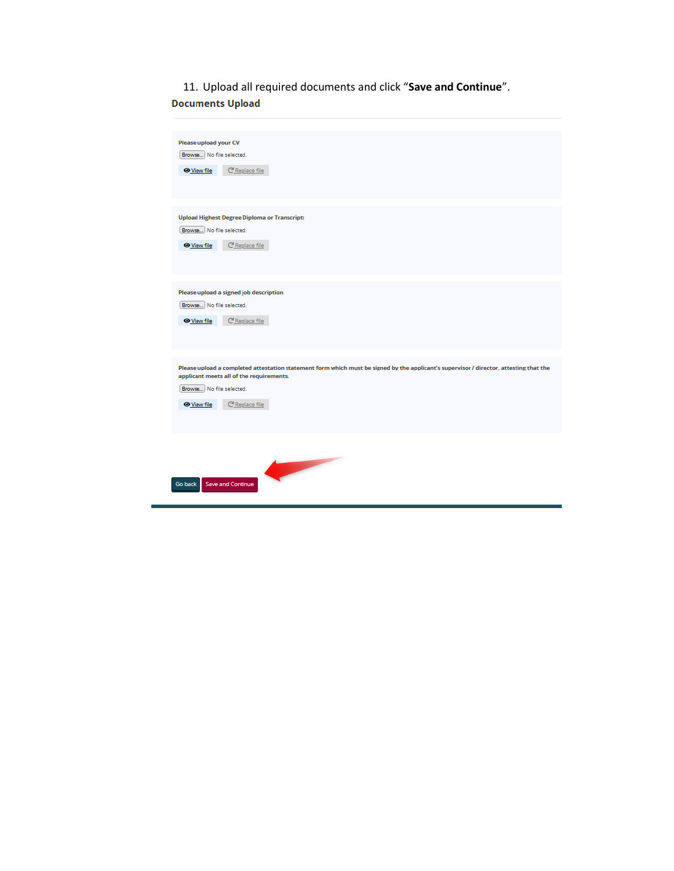11. Upload all required documents and click "**Save and Continue**".**Documents Upload** 

| <b>Please upload your CV</b><br>Browse No file selected.<br>C Replace file<br><b>O</b> View file                                                                                                                                                       |
|--------------------------------------------------------------------------------------------------------------------------------------------------------------------------------------------------------------------------------------------------------|
| <b>Upload Highest Degree Diploma or Transcript:</b><br>Browse No file selected.<br>C Replace file<br><b>O</b> View file                                                                                                                                |
| Please upload a signed job description<br>Browse No file selected.<br>C Replace file<br><b>O</b> View file                                                                                                                                             |
| Please upload a completed attestation statement form which must be signed by the applicant's supervisor / director, attesting that the<br>applicant meets all of the requirements.<br>Browse No file selected.<br>C Replace file<br><b>O</b> View file |
| Save and Continue<br>Go back                                                                                                                                                                                                                           |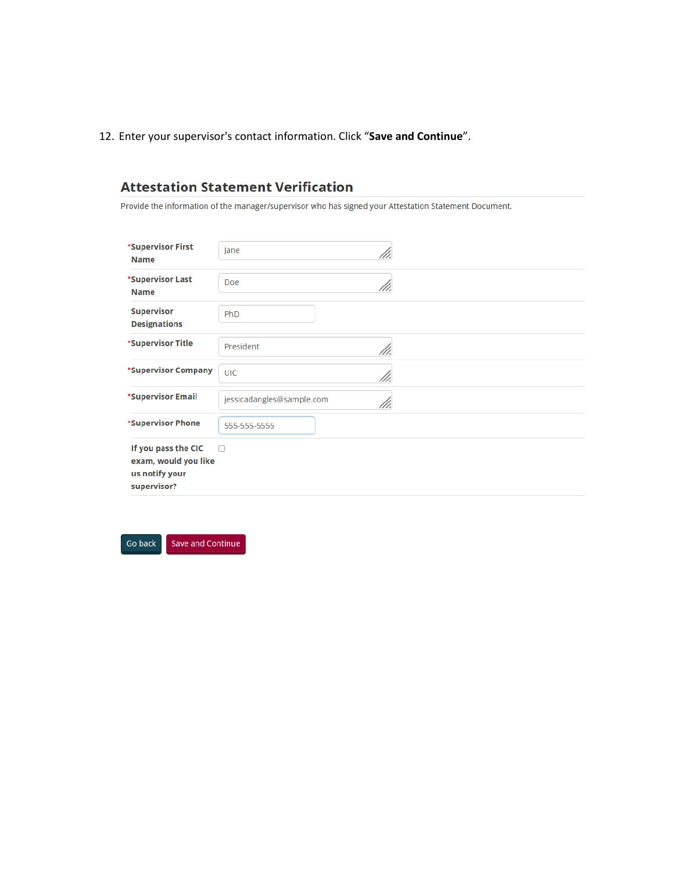12. Enter your supervisor's contact information. Click "Save and Continue".

## **Attestation Statement Verification**

Provide the information of the manager/supervisor who has signed your Attestation Statement Document.

| *Supervisor First<br><b>Name</b>                                             | Jane<br>///.                      |
|------------------------------------------------------------------------------|-----------------------------------|
| *Supervisor Last<br><b>Name</b>                                              | Doe<br>///.                       |
| <b>Supervisor</b><br><b>Designations</b>                                     | PhD                               |
| *Supervisor Title                                                            | President<br>///.                 |
| *Supervisor Company                                                          | <b>UIC</b><br>///.                |
| *Supervisor Email                                                            | jessicadangles@sample.com<br>111. |
| *Supervisor Phone                                                            | 555-555-5555                      |
| If you pass the CIC<br>exam, would you like<br>us notify your<br>supervisor? | ∩                                 |

Go back Save and Continue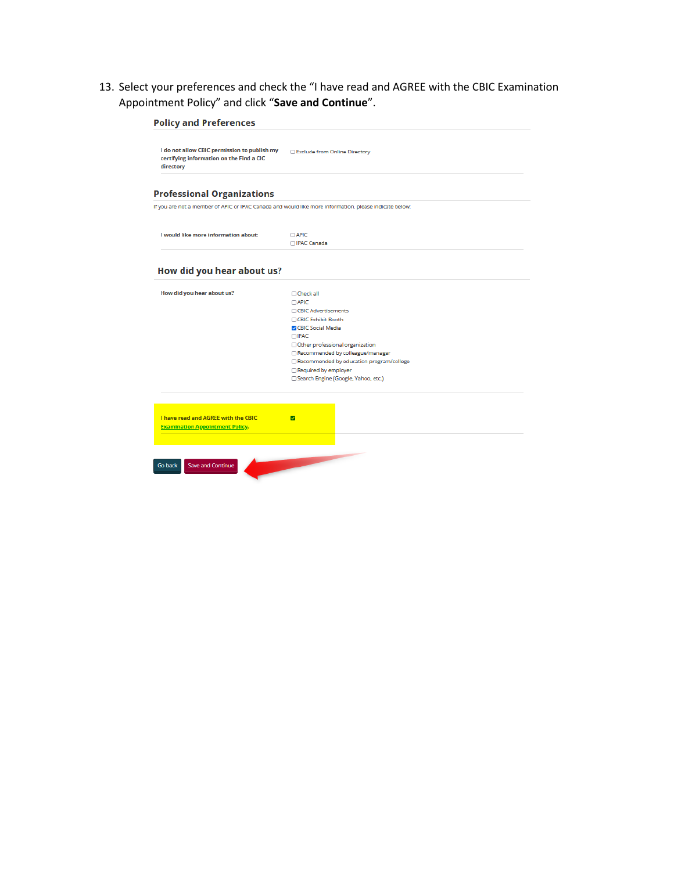13. Select your preferences and check the "I have read and AGREE with the CBIC Examination Appointment Policy" and click "**Save and Continue**".

| I do not allow CBIC permission to publish my<br>certifying information on the Find a CIC<br>directory | Exclude from Online Directory                                                                                                                                                                                                                                                                                     |
|-------------------------------------------------------------------------------------------------------|-------------------------------------------------------------------------------------------------------------------------------------------------------------------------------------------------------------------------------------------------------------------------------------------------------------------|
| <b>Professional Organizations</b>                                                                     |                                                                                                                                                                                                                                                                                                                   |
|                                                                                                       | If you are not a member of APIC or IPAC Canada and would like more information, please indicate below:                                                                                                                                                                                                            |
| I would like more information about:                                                                  | <b>CAPIC</b><br>□IPAC Canada                                                                                                                                                                                                                                                                                      |
| How did you hear about us?                                                                            |                                                                                                                                                                                                                                                                                                                   |
| How did you hear about us?                                                                            | □ Check all<br>$\Box$ APIC<br><b>CBIC Advertisements</b><br>□ CBIC Exhibit Booth<br><b>Z</b> CBIC Social Media<br>$\Box$ IPAC<br>Other professional organization<br>Recommended by colleague/manager<br>Recommended by education program/college<br>Required by employer<br>□ Search Engine (Google, Yahoo, etc.) |
| I have read and AGREE with the CBIC<br><b>Examination Appointment Policy.</b>                         | ☑                                                                                                                                                                                                                                                                                                                 |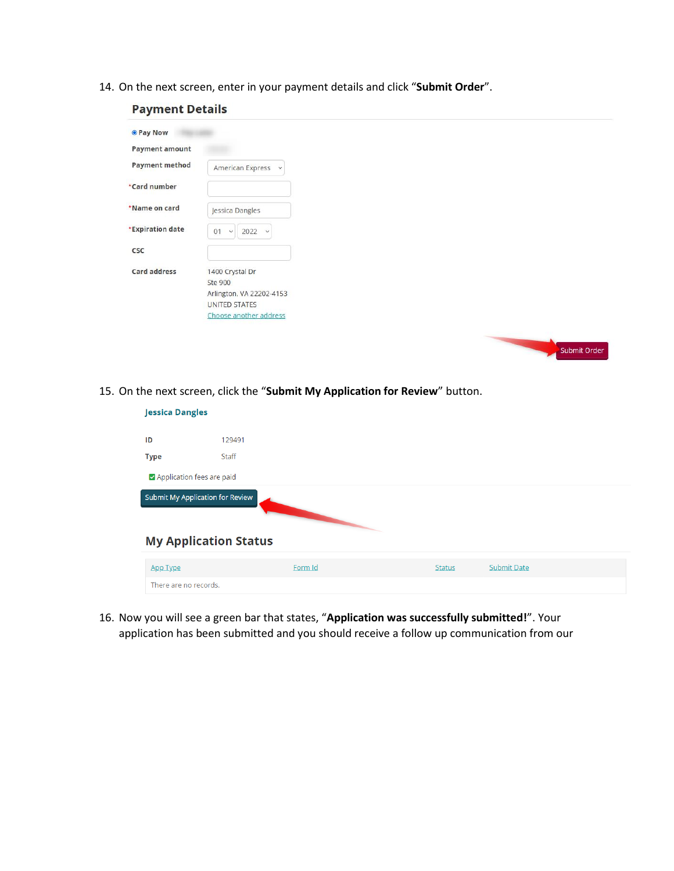14. On the next screen, enter in your payment details and click "**Submit Order**".

| Payment Details       |                                     |
|-----------------------|-------------------------------------|
| <b>O</b> Pay Now      |                                     |
| <b>Payment amount</b> |                                     |
| <b>Payment method</b> | American Express<br>Ÿ               |
| *Card number          |                                     |
| *Name on card         | Jessica Dangles                     |
| *Expiration date      | $2022 \times$<br>01<br>$\checkmark$ |
| CSC                   |                                     |
| <b>Card address</b>   | 1400 Crystal Dr                     |
|                       | Ste 900                             |
|                       | Arlington, VA 22202-4153            |
|                       | <b>UNITED STATES</b>                |
|                       | Choose another address              |
|                       |                                     |
|                       |                                     |

15. On the next screen, click the "**Submit My Application for Review**" button.

| <b>Jessica Dangles</b>    |                                         |         |               |                    |  |  |
|---------------------------|-----------------------------------------|---------|---------------|--------------------|--|--|
| ID                        | 129491                                  |         |               |                    |  |  |
| <b>Type</b>               | Staff                                   |         |               |                    |  |  |
| Application fees are paid |                                         |         |               |                    |  |  |
|                           | <b>Submit My Application for Review</b> |         |               |                    |  |  |
|                           | <b>My Application Status</b>            |         |               |                    |  |  |
| <b>App Type</b>           |                                         | Form Id | <b>Status</b> | <b>Submit Date</b> |  |  |

Submit Order

16. Now you will see a green bar that states, "**Application was successfully submitted!**". Your application has been submitted and you should receive a follow up communication from our

# **Doumant Details**